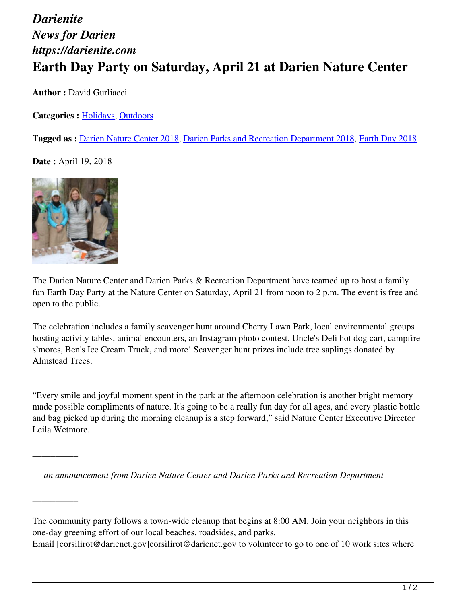## *Darienite News for Darien https://darienite.com* **Earth Day Party on Saturday, April 21 at Darien Nature Center**

**Author :** David Gurliacci

**Categories :** [Holidays](https://darienite.com/category/living/holidays), Outdoors

**Tagged as :** Darien Nature Center 2018, Darien Parks and Recreation Department 2018, Earth Day 2018

**Date :** April 19, 2018



 $\overline{\phantom{a}}$ 

 $\overline{\phantom{a}}$ 

The Darien Nature Center and Darien Parks & Recreation Department have teamed up to host a family fun Earth Day Party at the Nature Center on Saturday, April 21 from noon to 2 p.m. The event is free and open to the public.

The celebration includes a family scavenger hunt around Cherry Lawn Park, local environmental groups hosting activity tables, animal encounters, an Instagram photo contest, Uncle's Deli hot dog cart, campfire s'mores, Ben's Ice Cream Truck, and more! Scavenger hunt prizes include tree saplings donated by Almstead Trees.

"Every smile and joyful moment spent in the park at the afternoon celebration is another bright memory made possible compliments of nature. It's going to be a really fun day for all ages, and every plastic bottle and bag picked up during the morning cleanup is a step forward," said Nature Center Executive Director Leila Wetmore.

*— an announcement from Darien Nature Center and Darien Parks and Recreation Department*

The community party follows a town-wide cleanup that begins at 8:00 AM. Join your neighbors in this one-day greening effort of our local beaches, roadsides, and parks.

Email [corsilirot@darienct.gov]corsilirot@darienct.gov to volunteer to go to one of 10 work sites where